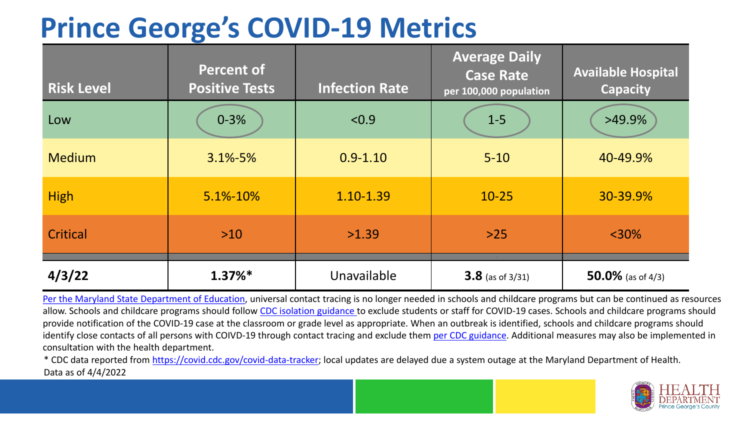## **Prince George's COVID-19 Metrics**

| <b>Risk Level</b> | <b>Percent of</b><br><b>Positive Tests</b> | <b>Infection Rate</b> | <b>Average Daily</b><br><b>Case Rate</b><br>per 100,000 population | <b>Available Hospital</b><br><b>Capacity</b> |
|-------------------|--------------------------------------------|-----------------------|--------------------------------------------------------------------|----------------------------------------------|
| Low               | $0 - 3%$                                   | < 0.9                 | $1 - 5$                                                            | $>49.9\%$                                    |
| <b>Medium</b>     | $3.1\% - 5\%$                              | $0.9 - 1.10$          | $5 - 10$                                                           | 40-49.9%                                     |
| <b>High</b>       | 5.1%-10%                                   | 1.10-1.39             | $10 - 25$                                                          | 30-39.9%                                     |
| Critical          | $>10$                                      | >1.39                 | $>25$                                                              | $<$ 30%                                      |
| 4/3/22            | $1.37\%$ *                                 | Unavailable           | $3.8$ (as of 3/31)                                                 | 50.0% (as of $4/3$ )                         |

[Per the Maryland State Department of Education,](https://earlychildhood.marylandpublicschools.org/system/files/filedepot/3/covid_guidance_full_080420.pdf) universal contact tracing is no longer needed in schools and childcare programs but can be continued as resources allow. Schools and childcare programs should follow [CDC isolation guidance t](https://www.cdc.gov/coronavirus/2019-ncov/community/schools-childcare/k-12-contact-tracing/about-isolation.html)o exclude students or staff for COVID-19 cases. Schools and childcare programs should provide notification of the COVID-19 case at the classroom or grade level as appropriate. When an outbreak is identified, schools and childcare programs should identify close contacts of all persons with COIVD-19 through contact tracing and exclude them [per CDC guidance](https://www.cdc.gov/coronavirus/2019-ncov/your-health/quarantine-isolation.html). Additional measures may also be implemented in consultation with the health department.

\* CDC data reported from [https://covid.cdc.gov/covid-data-tracker;](https://covid.cdc.gov/covid-data-tracker) local updates are delayed due a system outage at the Maryland Department of Health. Data as of 4/4/2022

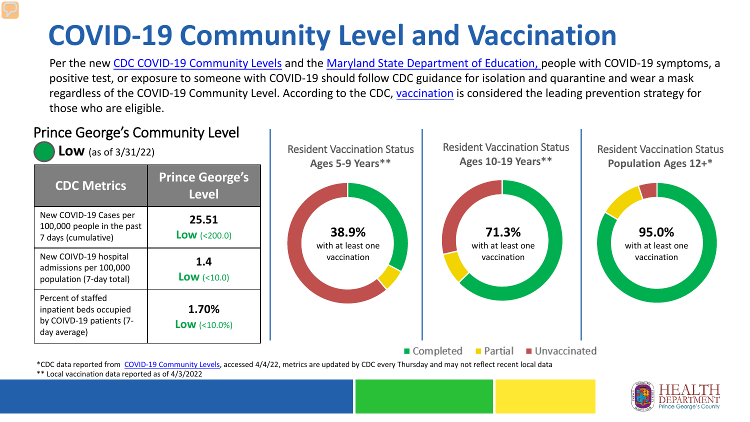# **COVID-19 Community Level and Vaccination**

Per the new [CDC COVID-19 Community Levels](https://www.cdc.gov/coronavirus/2019-ncov/science/community-levels.html#anchor_82254) and the [Maryland State Department of Education, p](https://earlychildhood.marylandpublicschools.org/system/files/filedepot/3/covid_guidance_full_080420.pdf)eople with COVID-19 symptoms, a positive test, or exposure to someone with COVID-19 should follow CDC guidance for isolation and quarantine and wear a mask regardless of the COVID-19 Community Level. According to the CDC, [vaccination](https://www.cdc.gov/coronavirus/2019-ncov/prevent-getting-sick/prevention.html) is considered the leading prevention strategy for those who are eligible.



\*\* Local vaccination data reported as of 4/3/2022

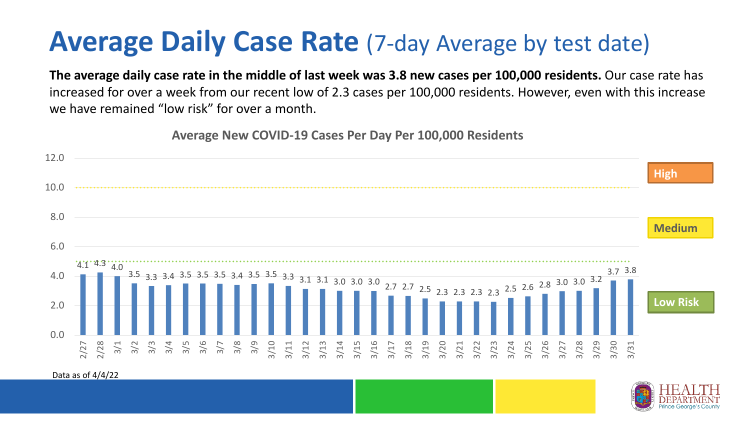### **Average Daily Case Rate** (7-day Average by test date)

**The average daily case rate in the middle of last week was 3.8 new cases per 100,000 residents.** Our case rate has increased for over a week from our recent low of 2.3 cases per 100,000 residents. However, even with this increase we have remained "low risk" for over a month.

**Average New COVID-19 Cases Per Day Per 100,000 Residents**



Data as of 4/4/22